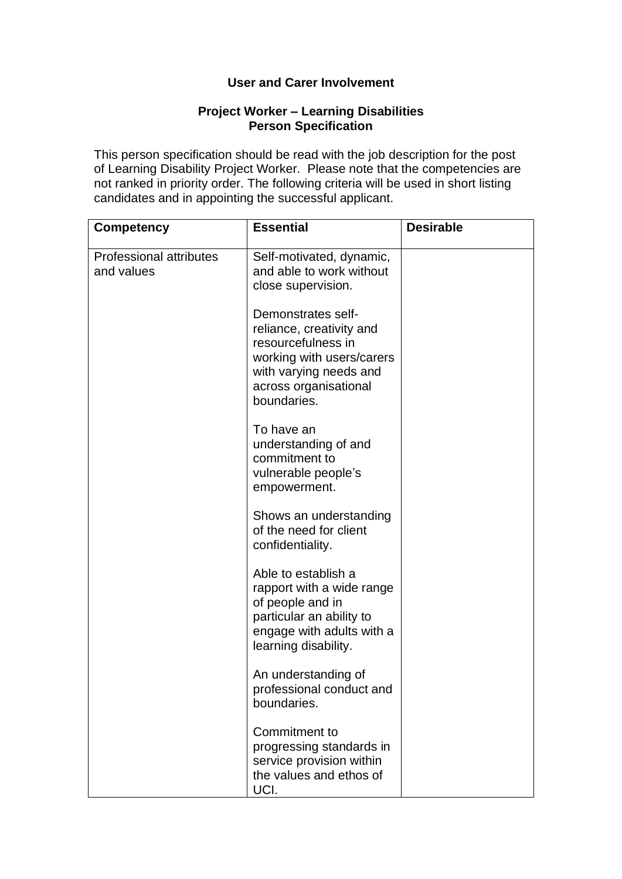## **User and Carer Involvement**

## **Project Worker – Learning Disabilities Person Specification**

This person specification should be read with the job description for the post of Learning Disability Project Worker. Please note that the competencies are not ranked in priority order. The following criteria will be used in short listing candidates and in appointing the successful applicant.

| <b>Competency</b>                            | <b>Essential</b>                                                                                                                                                    | <b>Desirable</b> |
|----------------------------------------------|---------------------------------------------------------------------------------------------------------------------------------------------------------------------|------------------|
| <b>Professional attributes</b><br>and values | Self-motivated, dynamic,<br>and able to work without<br>close supervision.                                                                                          |                  |
|                                              | Demonstrates self-<br>reliance, creativity and<br>resourcefulness in<br>working with users/carers<br>with varying needs and<br>across organisational<br>boundaries. |                  |
|                                              | To have an<br>understanding of and<br>commitment to<br>vulnerable people's<br>empowerment.                                                                          |                  |
|                                              | Shows an understanding<br>of the need for client<br>confidentiality.                                                                                                |                  |
|                                              | Able to establish a<br>rapport with a wide range<br>of people and in<br>particular an ability to<br>engage with adults with a<br>learning disability.               |                  |
|                                              | An understanding of<br>professional conduct and<br>boundaries.                                                                                                      |                  |
|                                              | Commitment to<br>progressing standards in<br>service provision within<br>the values and ethos of<br>UCI.                                                            |                  |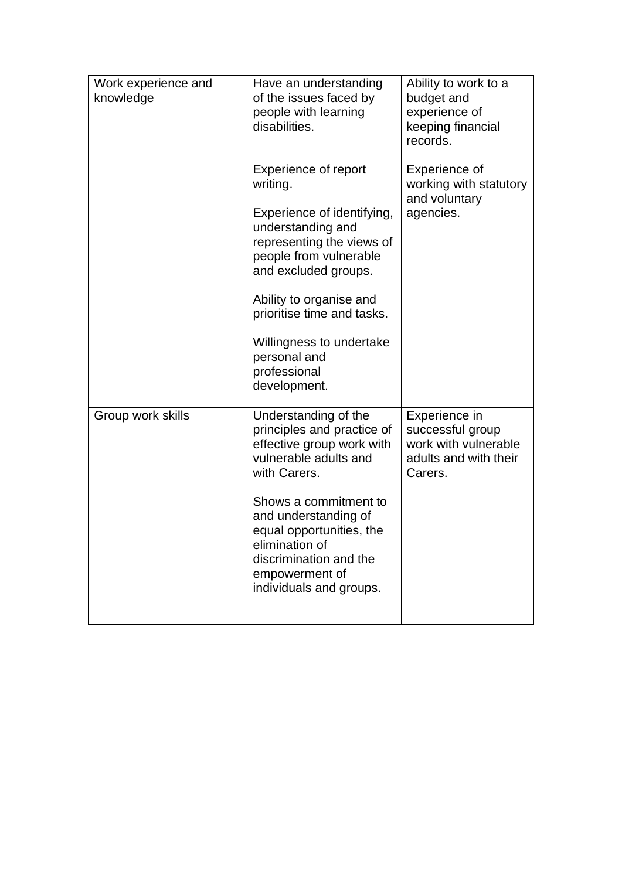| Work experience and<br>knowledge | Have an understanding<br>of the issues faced by<br>people with learning<br>disabilities.                                                                                                                                                                                                                       | Ability to work to a<br>budget and<br>experience of<br>keeping financial<br>records.          |
|----------------------------------|----------------------------------------------------------------------------------------------------------------------------------------------------------------------------------------------------------------------------------------------------------------------------------------------------------------|-----------------------------------------------------------------------------------------------|
|                                  | <b>Experience of report</b><br>writing.<br>Experience of identifying,<br>understanding and<br>representing the views of<br>people from vulnerable<br>and excluded groups.<br>Ability to organise and<br>prioritise time and tasks.<br>Willingness to undertake<br>personal and<br>professional<br>development. | Experience of<br>working with statutory<br>and voluntary<br>agencies.                         |
| Group work skills                | Understanding of the<br>principles and practice of<br>effective group work with<br>vulnerable adults and<br>with Carers.<br>Shows a commitment to<br>and understanding of<br>equal opportunities, the<br>elimination of<br>discrimination and the<br>empowerment of<br>individuals and groups.                 | Experience in<br>successful group<br>work with vulnerable<br>adults and with their<br>Carers. |